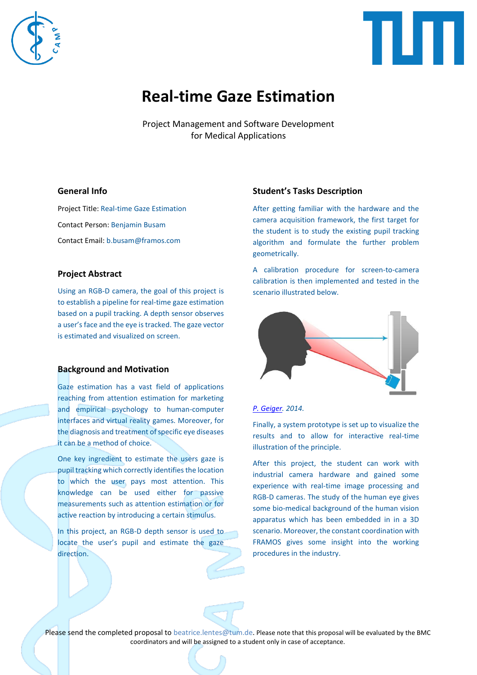



# **Real-time Gaze Estimation**

Project Management and Software Development for Medical Applications

## **General Info**

Project Title: Real-time Gaze Estimation Contact Person: Benjamin Busam Contact Email: b.busam@framos.com

## **Project Abstract**

Using an RGB-D camera, the goal of this project is to establish a pipeline for real-time gaze estimation based on a pupil tracking. A depth sensor observes a user's face and the eye is tracked. The gaze vector is estimated and visualized on screen.

## **Background and Motivation**

Gaze estimation has a vast field of applications reaching from attention estimation for marketing and empirical psychology to human-computer interfaces and virtual reality games. Moreover, for the diagnosis and treatment of specific eye diseases it can be a method of choice.

One key ingredient to estimate the users gaze is pupil tracking which correctly identifies the location to which the user pays most attention. This knowledge can be used either for passive measurements such as attention estimation or for active reaction by introducing a certain stimulus.

In this project, an RGB-D depth sensor is used to locate the user's pupil and estimate the gaze direction.

#### **Student's Tasks Description**

After getting familiar with the hardware and the camera acquisition framework, the first target for the student is to study the existing pupil tracking algorithm and formulate the further problem geometrically.

A calibration procedure for screen-to-camera calibration is then implemented and tested in the scenario illustrated below.



### *[P. Geiger.](http://www.makinggames.biz/feature/use-your-eyes-interaction-through-eye-tracking,7117.html) 2014.*

Finally, a system prototype is set up to visualize the results and to allow for interactive real-time illustration of the principle.

After this project, the student can work with industrial camera hardware and gained some experience with real-time image processing and RGB-D cameras. The study of the human eye gives some bio-medical background of the human vision apparatus which has been embedded in in a 3D scenario. Moreover, the constant coordination with FRAMOS gives some insight into the working procedures in the industry.